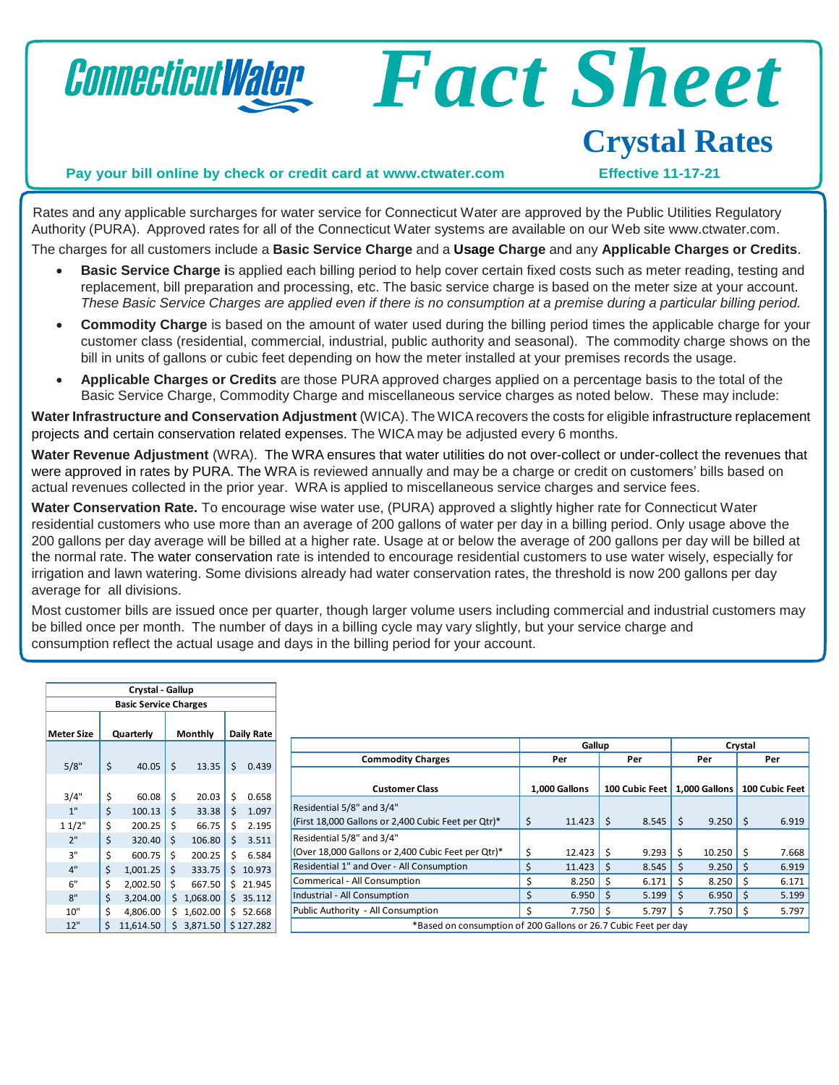

Rates and any applicable surcharges for water service for Connecticut Water are approved by the Public Utilities Regulatory Authority (PURA). Approved rates for all of the Connecticut Water systems are available on our Web site [www.ctwater.com.](http://www.ctwater.com/) The charges for all customers include a **Basic Service Charge** and a **Usage Charge** and any **Applicable Charges or Credits**.

- **Basic Service Charge i**s applied each billing period to help cover certain fixed costs such as meter reading, testing and replacement, bill preparation and processing, etc. The basic service charge is based on the meter size at your account. These Basic Service Charges are applied even if there is no consumption at a premise during a particular billing period.
- **Commodity Charge** is based on the amount of water used during the billing period times the applicable charge for your customer class (residential, commercial, industrial, public authority and seasonal). The commodity charge shows on the bill in units of gallons or cubic feet depending on how the meter installed at your premises records the usage.
- **Applicable Charges or Credits** are those PURA approved charges applied on a percentage basis to the total of the Basic Service Charge, Commodity Charge and miscellaneous service charges as noted below. These may include:

**Water Infrastructure and Conservation Adjustment** (WICA). The WICArecovers the costs for eligible infrastructure replacement projects and certain conservation related expenses. The WICA may be adjusted every 6 months.

**Water Revenue Adjustment** (WRA). The WRA ensures that water utilities do not over-collect or under-collect the revenues that were approved in rates by PURA. The WRA is reviewed annually and may be a charge or credit on customers' bills based on actual revenues collected in the prior year. WRA is applied to miscellaneous service charges and service fees.

**Water Conservation Rate.** To encourage wise water use, (PURA) approved a slightly higher rate for Connecticut Water residential customers who use more than an average of 200 gallons of water per day in a billing period. Only usage above the 200 gallons per day average will be billed at a higher rate. Usage at or below the average of 200 gallons per day will be billed at the normal rate. The water conservation rate is intended to encourage residential customers to use water wisely, especially for irrigation and lawn watering. Some divisions already had water conservation rates, the threshold is now 200 gallons per day average for all divisions.

Most customer bills are issued once per quarter, though larger volume users including commercial and industrial customers may be billed once per month. The number of days in a billing cycle may vary slightly, but your service charge and consumption reflect the actual usage and days in the billing period for your account.

| Crystal - Gallup             |           |           |         |          |            |           |  |
|------------------------------|-----------|-----------|---------|----------|------------|-----------|--|
| <b>Basic Service Charges</b> |           |           |         |          |            |           |  |
| <b>Meter Size</b>            | Quarterly |           | Monthly |          | Daily Rate |           |  |
| 5/8"                         | \$        | 40.05     | \$      | 13.35    | \$         | 0.439     |  |
| 3/4"                         | \$        | 60.08     | \$      | 20.03    | \$         | 0.658     |  |
| 1"                           | \$        | 100.13    | \$      | 33.38    | \$         | 1.097     |  |
| 11/2"                        | \$        | 200.25    | \$      | 66.75    | \$         | 2.195     |  |
| 2"                           | \$        | 320.40    | \$      | 106.80   | \$         | 3.511     |  |
| 3"                           | \$        | 600.75    | \$      | 200.25   | \$         | 6.584     |  |
| 4"                           | \$        | 1,001.25  | \$      | 333.75   | \$         | 10.973    |  |
| 6"                           | \$        | 2,002.50  | \$      | 667.50   | \$         | 21.945    |  |
| 8"                           | \$        | 3,204.00  | \$      | 1,068.00 | \$         | 35.112    |  |
| 10"                          | \$        | 4,806.00  | \$      | 1,602.00 | Ś          | 52.668    |  |
| 12"                          | \$        | 11,614.50 | \$      | 3,871.50 |            | \$127.282 |  |

|                                                                 | Gallup        |        |                | Crystal |               |        |                |       |  |
|-----------------------------------------------------------------|---------------|--------|----------------|---------|---------------|--------|----------------|-------|--|
| <b>Commodity Charges</b>                                        |               | Per    |                | Per     |               | Per    |                | Per   |  |
| <b>Customer Class</b>                                           | 1,000 Gallons |        | 100 Cubic Feet |         | 1.000 Gallons |        | 100 Cubic Feet |       |  |
| Residential 5/8" and 3/4"                                       |               |        |                |         |               |        |                |       |  |
| (First 18,000 Gallons or 2,400 Cubic Feet per Qtr)*             | \$            | 11.423 | Ś              | 8.545   | - Ś           | 9.250  | I \$           | 6.919 |  |
| Residential 5/8" and 3/4"                                       |               |        |                |         |               |        |                |       |  |
| (Over 18,000 Gallons or 2,400 Cubic Feet per Qtr)*              | Ś             | 12.423 | Ś              | 9.293   | Ŝ.            | 10.250 |                | 7.668 |  |
| Residential 1" and Over - All Consumption                       | Ś             | 11.423 | Ŝ              | 8.545   | -Ś            | 9.250  | Ŝ              | 6.919 |  |
| Commerical - All Consumption                                    |               | 8.250  | Ś              | 6.171   | Ś             | 8.250  |                | 6.171 |  |
| Industrial - All Consumption                                    | Ś             | 6.950  | Ś              | 5.199   | Ŝ             | 6.950  | Ŝ              | 5.199 |  |
| Public Authority - All Consumption                              | Ś             | 7.750  | ς              | 5.797   | S.            | 7.750  |                | 5.797 |  |
| *Based on consumption of 200 Gallons or 26.7 Cubic Feet per day |               |        |                |         |               |        |                |       |  |